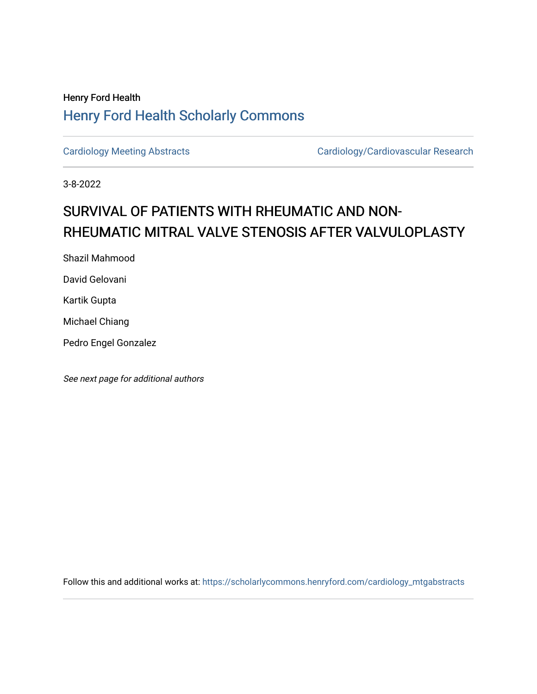## Henry Ford Health [Henry Ford Health Scholarly Commons](https://scholarlycommons.henryford.com/)

[Cardiology Meeting Abstracts](https://scholarlycommons.henryford.com/cardiology_mtgabstracts) Cardiology/Cardiovascular Research

3-8-2022

## SURVIVAL OF PATIENTS WITH RHEUMATIC AND NON-RHEUMATIC MITRAL VALVE STENOSIS AFTER VALVULOPLASTY

Shazil Mahmood

David Gelovani

Kartik Gupta

Michael Chiang

Pedro Engel Gonzalez

See next page for additional authors

Follow this and additional works at: [https://scholarlycommons.henryford.com/cardiology\\_mtgabstracts](https://scholarlycommons.henryford.com/cardiology_mtgabstracts?utm_source=scholarlycommons.henryford.com%2Fcardiology_mtgabstracts%2F331&utm_medium=PDF&utm_campaign=PDFCoverPages)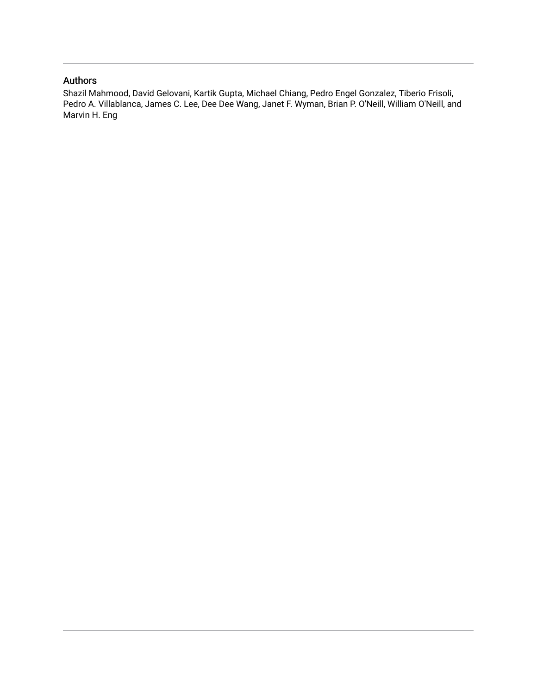## Authors

Shazil Mahmood, David Gelovani, Kartik Gupta, Michael Chiang, Pedro Engel Gonzalez, Tiberio Frisoli, Pedro A. Villablanca, James C. Lee, Dee Dee Wang, Janet F. Wyman, Brian P. O'Neill, William O'Neill, and Marvin H. Eng